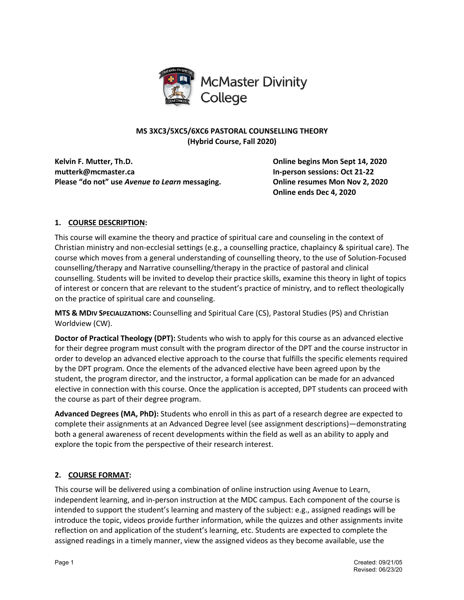

# **MS 3XC3/5XC5/6XC6 PASTORAL COUNSELLING THEORY (Hybrid Course, Fall 2020)**

**Kelvin F. Mutter, Th.D. Online begins Mon Sept 14, 2020 mutterk@mcmaster.ca In-person sessions: Oct 21-22 Please "do not" use** *Avenue to Learn* **messaging. Online resumes Mon Nov 2, 2020**

**Online ends Dec 4, 2020**

# **1. COURSE DESCRIPTION:**

This course will examine the theory and practice of spiritual care and counseling in the context of Christian ministry and non-ecclesial settings (e.g., a counselling practice, chaplaincy & spiritual care). The course which moves from a general understanding of counselling theory, to the use of Solution-Focused counselling/therapy and Narrative counselling/therapy in the practice of pastoral and clinical counselling. Students will be invited to develop their practice skills, examine this theory in light of topics of interest or concern that are relevant to the student's practice of ministry, and to reflect theologically on the practice of spiritual care and counseling.

**MTS & MDIV SPECIALIZATIONS:** Counselling and Spiritual Care (CS), Pastoral Studies (PS) and Christian Worldview (CW).

**Doctor of Practical Theology (DPT):** Students who wish to apply for this course as an advanced elective for their degree program must consult with the program director of the DPT and the course instructor in order to develop an advanced elective approach to the course that fulfills the specific elements required by the DPT program. Once the elements of the advanced elective have been agreed upon by the student, the program director, and the instructor, a formal application can be made for an advanced elective in connection with this course. Once the application is accepted, DPT students can proceed with the course as part of their degree program.

**Advanced Degrees (MA, PhD):** Students who enroll in this as part of a research degree are expected to complete their assignments at an Advanced Degree level (see assignment descriptions)—demonstrating both a general awareness of recent developments within the field as well as an ability to apply and explore the topic from the perspective of their research interest.

# **2. COURSE FORMAT:**

This course will be delivered using a combination of online instruction using Avenue to Learn, independent learning, and in-person instruction at the MDC campus. Each component of the course is intended to support the student's learning and mastery of the subject: e.g., assigned readings will be introduce the topic, videos provide further information, while the quizzes and other assignments invite reflection on and application of the student's learning, etc. Students are expected to complete the assigned readings in a timely manner, view the assigned videos as they become available, use the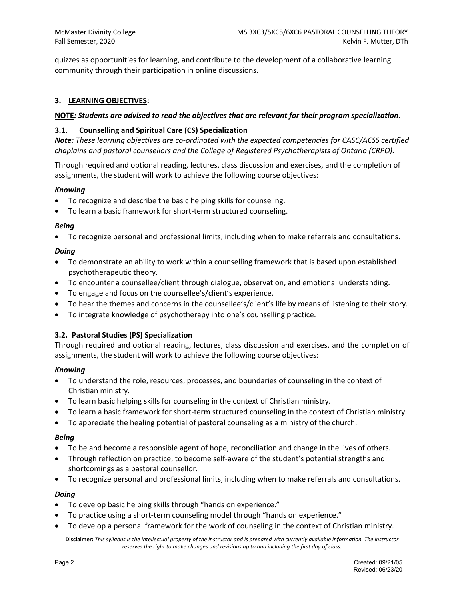quizzes as opportunities for learning, and contribute to the development of a collaborative learning community through their participation in online discussions.

## **3. LEARNING OBJECTIVES:**

## **NOTE***: Students are advised to read the objectives that are relevant for their program specialization***.**

## **3.1. Counselling and Spiritual Care (CS) Specialization**

*Note: These learning objectives are co-ordinated with the expected competencies for CASC/ACSS certified chaplains and pastoral counsellors and the College of Registered Psychotherapists of Ontario (CRPO).* 

Through required and optional reading, lectures, class discussion and exercises, and the completion of assignments, the student will work to achieve the following course objectives:

## *Knowing*

- To recognize and describe the basic helping skills for counseling.
- To learn a basic framework for short-term structured counseling.

#### *Being*

• To recognize personal and professional limits, including when to make referrals and consultations.

## *Doing*

- To demonstrate an ability to work within a counselling framework that is based upon established psychotherapeutic theory.
- To encounter a counsellee/client through dialogue, observation, and emotional understanding.
- To engage and focus on the counsellee's/client's experience.
- To hear the themes and concerns in the counsellee's/client's life by means of listening to their story.
- To integrate knowledge of psychotherapy into one's counselling practice.

# **3.2. Pastoral Studies (PS) Specialization**

Through required and optional reading, lectures, class discussion and exercises, and the completion of assignments, the student will work to achieve the following course objectives:

## *Knowing*

- To understand the role, resources, processes, and boundaries of counseling in the context of Christian ministry.
- To learn basic helping skills for counseling in the context of Christian ministry.
- To learn a basic framework for short-term structured counseling in the context of Christian ministry.
- To appreciate the healing potential of pastoral counseling as a ministry of the church.

## *Being*

- To be and become a responsible agent of hope, reconciliation and change in the lives of others.
- Through reflection on practice, to become self-aware of the student's potential strengths and shortcomings as a pastoral counsellor.
- To recognize personal and professional limits, including when to make referrals and consultations.

## *Doing*

- To develop basic helping skills through "hands on experience."
- To practice using a short-term counseling model through "hands on experience."
- To develop a personal framework for the work of counseling in the context of Christian ministry.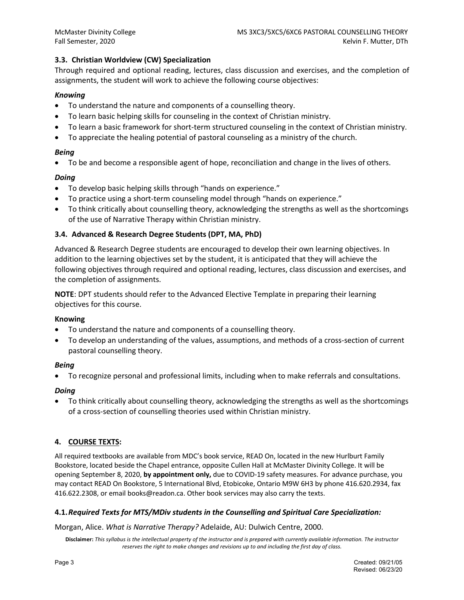# **3.3. Christian Worldview (CW) Specialization**

Through required and optional reading, lectures, class discussion and exercises, and the completion of assignments, the student will work to achieve the following course objectives:

# *Knowing*

- To understand the nature and components of a counselling theory.
- To learn basic helping skills for counseling in the context of Christian ministry.
- To learn a basic framework for short-term structured counseling in the context of Christian ministry.
- To appreciate the healing potential of pastoral counseling as a ministry of the church.

## *Being*

• To be and become a responsible agent of hope, reconciliation and change in the lives of others.

# *Doing*

- To develop basic helping skills through "hands on experience."
- To practice using a short-term counseling model through "hands on experience."
- To think critically about counselling theory, acknowledging the strengths as well as the shortcomings of the use of Narrative Therapy within Christian ministry.

# **3.4. Advanced & Research Degree Students (DPT, MA, PhD)**

Advanced & Research Degree students are encouraged to develop their own learning objectives. In addition to the learning objectives set by the student, it is anticipated that they will achieve the following objectives through required and optional reading, lectures, class discussion and exercises, and the completion of assignments.

**NOTE**: DPT students should refer to the Advanced Elective Template in preparing their learning objectives for this course.

# **Knowing**

- To understand the nature and components of a counselling theory.
- To develop an understanding of the values, assumptions, and methods of a cross-section of current pastoral counselling theory.

## *Being*

• To recognize personal and professional limits, including when to make referrals and consultations.

# *Doing*

• To think critically about counselling theory, acknowledging the strengths as well as the shortcomings of a cross-section of counselling theories used within Christian ministry.

# **4. COURSE TEXTS:**

All required textbooks are available from MDC's book service, READ On, located in the new Hurlburt Family Bookstore, located beside the Chapel entrance, opposite Cullen Hall at McMaster Divinity College. It will be opening September 8, 2020, **by appointment only,** due to COVID-19 safety measures. For advance purchase, you may contact READ On Bookstore, 5 International Blvd, Etobicoke, Ontario M9W 6H3 by phone 416.620.2934, fax 416.622.2308, or email books@readon.ca. Other book services may also carry the texts.

## **4.1.***Required Texts for MTS/MDiv students in the Counselling and Spiritual Care Specialization:*

Morgan, Alice. *What is Narrative Therapy?* Adelaide, AU: Dulwich Centre, 2000.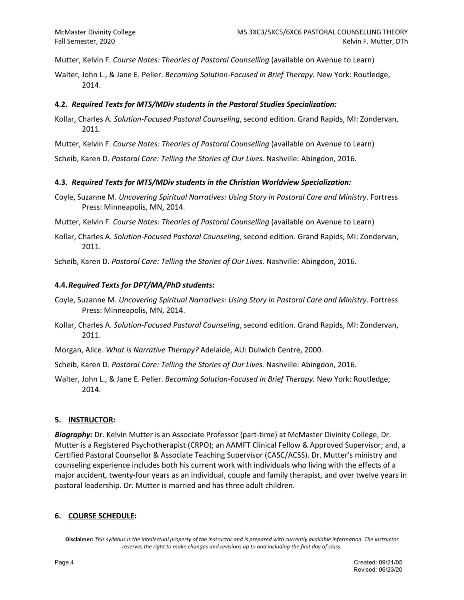Mutter, Kelvin F. *Course Notes: Theories of Pastoral Counselling* (available on Avenue to Learn)

Walter, John L., & Jane E. Peller. *Becoming Solution-Focused in Brief Therapy.* New York: Routledge, 2014.

## **4.2.** *Required Texts for MTS/MDiv students in the Pastoral Studies Specialization:*

- Kollar, Charles A. *Solution-Focused Pastoral Counseling*, second edition. Grand Rapids, MI: Zondervan, 2011.
- Mutter, Kelvin F. *Course Notes: Theories of Pastoral Counselling* (available on Avenue to Learn)

Scheib, Karen D. *Pastoral Care: Telling the Stories of Our Lives.* Nashville: Abingdon, 2016.

## **4.3.** *Required Texts for MTS/MDiv students in the Christian Worldview Specialization:*

Coyle, Suzanne M. *Uncovering Spiritual Narratives: Using Story in Pastoral Care and Ministry*. Fortress Press: Minneapolis, MN, 2014.

Mutter, Kelvin F. *Course Notes: Theories of Pastoral Counselling* (available on Avenue to Learn)

Kollar, Charles A. *Solution-Focused Pastoral Counseling*, second edition. Grand Rapids, MI: Zondervan, 2011.

Scheib, Karen D. *Pastoral Care: Telling the Stories of Our Lives.* Nashville: Abingdon, 2016.

## **4.4.***Required Texts for DPT/MA/PhD students:*

- Coyle, Suzanne M. *Uncovering Spiritual Narratives: Using Story in Pastoral Care and Ministry*. Fortress Press: Minneapolis, MN, 2014.
- Kollar, Charles A. *Solution-Focused Pastoral Counseling*, second edition. Grand Rapids, MI: Zondervan, 2011.

Morgan, Alice. *What is Narrative Therapy?* Adelaide, AU: Dulwich Centre, 2000.

Scheib, Karen D. *Pastoral Care: Telling the Stories of Our Lives.* Nashville: Abingdon, 2016.

Walter, John L., & Jane E. Peller. *Becoming Solution-Focused in Brief Therapy.* New York: Routledge, 2014.

## **5. INSTRUCTOR:**

*Biography:* Dr. Kelvin Mutter is an Associate Professor (part-time) at McMaster Divinity College, Dr. Mutter is a Registered Psychotherapist (CRPO); an AAMFT Clinical Fellow & Approved Supervisor; and, a Certified Pastoral Counsellor & Associate Teaching Supervisor (CASC/ACSS). Dr. Mutter's ministry and counseling experience includes both his current work with individuals who living with the effects of a major accident, twenty-four years as an individual, couple and family therapist, and over twelve years in pastoral leadership. Dr. Mutter is married and has three adult children.

# **6. COURSE SCHEDULE:**

**Disclaimer:** *This syllabus is the intellectual property of the instructor and is prepared with currently available information. The instructor reserves the right to make changes and revisions up to and including the first day of class.*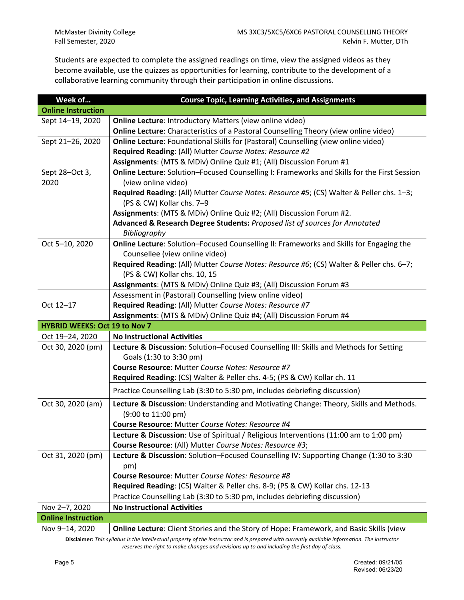Students are expected to complete the assigned readings on time, view the assigned videos as they become available, use the quizzes as opportunities for learning, contribute to the development of a collaborative learning community through their participation in online discussions.

| Week of                              | <b>Course Topic, Learning Activities, and Assignments</b>                                   |  |  |  |  |  |
|--------------------------------------|---------------------------------------------------------------------------------------------|--|--|--|--|--|
| <b>Online Instruction</b>            |                                                                                             |  |  |  |  |  |
| Sept 14-19, 2020                     | <b>Online Lecture: Introductory Matters (view online video)</b>                             |  |  |  |  |  |
|                                      | Online Lecture: Characteristics of a Pastoral Counselling Theory (view online video)        |  |  |  |  |  |
| Sept 21-26, 2020                     | Online Lecture: Foundational Skills for (Pastoral) Counselling (view online video)          |  |  |  |  |  |
|                                      | Required Reading: (All) Mutter Course Notes: Resource #2                                    |  |  |  |  |  |
|                                      | Assignments: (MTS & MDiv) Online Quiz #1; (All) Discussion Forum #1                         |  |  |  |  |  |
| Sept 28-Oct 3,                       | Online Lecture: Solution-Focused Counselling I: Frameworks and Skills for the First Session |  |  |  |  |  |
| 2020                                 | (view online video)                                                                         |  |  |  |  |  |
|                                      | Required Reading: (All) Mutter Course Notes: Resource #5; (CS) Walter & Peller chs. 1-3;    |  |  |  |  |  |
|                                      | (PS & CW) Kollar chs. 7-9                                                                   |  |  |  |  |  |
|                                      | Assignments: (MTS & MDiv) Online Quiz #2; (All) Discussion Forum #2.                        |  |  |  |  |  |
|                                      | Advanced & Research Degree Students: Proposed list of sources for Annotated                 |  |  |  |  |  |
|                                      | Bibliography                                                                                |  |  |  |  |  |
| Oct 5-10, 2020                       | Online Lecture: Solution-Focused Counselling II: Frameworks and Skills for Engaging the     |  |  |  |  |  |
|                                      | Counsellee (view online video)                                                              |  |  |  |  |  |
|                                      | Required Reading: (All) Mutter Course Notes: Resource #6; (CS) Walter & Peller chs. 6-7;    |  |  |  |  |  |
|                                      | (PS & CW) Kollar chs. 10, 15                                                                |  |  |  |  |  |
|                                      | Assignments: (MTS & MDiv) Online Quiz #3; (All) Discussion Forum #3                         |  |  |  |  |  |
|                                      | Assessment in (Pastoral) Counselling (view online video)                                    |  |  |  |  |  |
| Oct 12-17                            | Required Reading: (All) Mutter Course Notes: Resource #7                                    |  |  |  |  |  |
|                                      | Assignments: (MTS & MDiv) Online Quiz #4; (All) Discussion Forum #4                         |  |  |  |  |  |
| <b>HYBRID WEEKS: Oct 19 to Nov 7</b> |                                                                                             |  |  |  |  |  |
| Oct 19-24, 2020                      | <b>No Instructional Activities</b>                                                          |  |  |  |  |  |
| Oct 30, 2020 (pm)                    | Lecture & Discussion: Solution-Focused Counselling III: Skills and Methods for Setting      |  |  |  |  |  |
|                                      | Goals (1:30 to 3:30 pm)                                                                     |  |  |  |  |  |
|                                      | Course Resource: Mutter Course Notes: Resource #7                                           |  |  |  |  |  |
|                                      | Required Reading: (CS) Walter & Peller chs. 4-5; (PS & CW) Kollar ch. 11                    |  |  |  |  |  |
|                                      | Practice Counselling Lab (3:30 to 5:30 pm, includes debriefing discussion)                  |  |  |  |  |  |
| Oct 30, 2020 (am)                    | Lecture & Discussion: Understanding and Motivating Change: Theory, Skills and Methods.      |  |  |  |  |  |
|                                      | (9:00 to 11:00 pm)                                                                          |  |  |  |  |  |
|                                      | Course Resource: Mutter Course Notes: Resource #4                                           |  |  |  |  |  |
|                                      | Lecture & Discussion: Use of Spiritual / Religious Interventions (11:00 am to 1:00 pm)      |  |  |  |  |  |
|                                      | Course Resource: (All) Mutter Course Notes: Resource #3;                                    |  |  |  |  |  |
| Oct 31, 2020 (pm)                    | Lecture & Discussion: Solution-Focused Counselling IV: Supporting Change (1:30 to 3:30      |  |  |  |  |  |
|                                      | pm)                                                                                         |  |  |  |  |  |
|                                      | Course Resource: Mutter Course Notes: Resource #8                                           |  |  |  |  |  |
|                                      | Required Reading: (CS) Walter & Peller chs. 8-9; (PS & CW) Kollar chs. 12-13                |  |  |  |  |  |
|                                      | Practice Counselling Lab (3:30 to 5:30 pm, includes debriefing discussion)                  |  |  |  |  |  |
| Nov 2-7, 2020                        | <b>No Instructional Activities</b>                                                          |  |  |  |  |  |
| <b>Online Instruction</b>            |                                                                                             |  |  |  |  |  |
| Nov 9-14, 2020                       | Online Lecture: Client Stories and the Story of Hope: Framework, and Basic Skills (view     |  |  |  |  |  |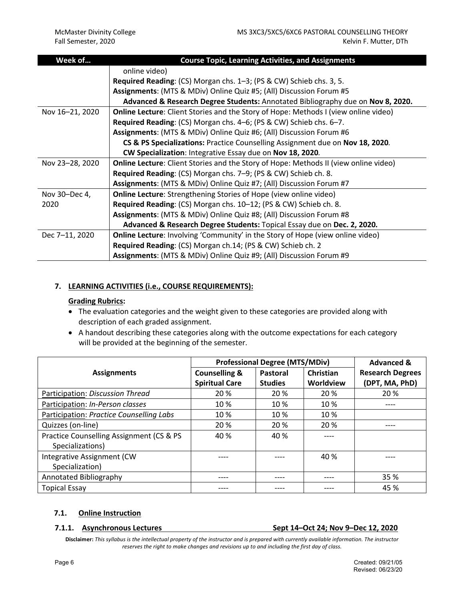| Week of         | <b>Course Topic, Learning Activities, and Assignments</b>                                   |  |  |  |  |  |
|-----------------|---------------------------------------------------------------------------------------------|--|--|--|--|--|
|                 | online video)                                                                               |  |  |  |  |  |
|                 | <b>Required Reading:</b> (CS) Morgan chs. 1–3; (PS & CW) Schieb chs. 3, 5.                  |  |  |  |  |  |
|                 | Assignments: (MTS & MDiv) Online Quiz #5; (All) Discussion Forum #5                         |  |  |  |  |  |
|                 | Advanced & Research Degree Students: Annotated Bibliography due on Nov 8, 2020.             |  |  |  |  |  |
| Nov 16-21, 2020 | <b>Online Lecture:</b> Client Stories and the Story of Hope: Methods I (view online video)  |  |  |  |  |  |
|                 | Required Reading: (CS) Morgan chs. 4–6; (PS & CW) Schieb chs. 6–7.                          |  |  |  |  |  |
|                 | Assignments: (MTS & MDiv) Online Quiz #6; (All) Discussion Forum #6                         |  |  |  |  |  |
|                 | CS & PS Specializations: Practice Counselling Assignment due on Nov 18, 2020.               |  |  |  |  |  |
|                 | CW Specialization: Integrative Essay due on Nov 18, 2020.                                   |  |  |  |  |  |
| Nov 23-28, 2020 | <b>Online Lecture:</b> Client Stories and the Story of Hope: Methods II (view online video) |  |  |  |  |  |
|                 | Required Reading: (CS) Morgan chs. 7-9; (PS & CW) Schieb ch. 8.                             |  |  |  |  |  |
|                 | Assignments: (MTS & MDiv) Online Quiz #7; (All) Discussion Forum #7                         |  |  |  |  |  |
| Nov 30–Dec 4,   | <b>Online Lecture:</b> Strengthening Stories of Hope (view online video)                    |  |  |  |  |  |
| 2020            | Required Reading: (CS) Morgan chs. 10-12; (PS & CW) Schieb ch. 8.                           |  |  |  |  |  |
|                 | Assignments: (MTS & MDiv) Online Quiz #8; (All) Discussion Forum #8                         |  |  |  |  |  |
|                 | Advanced & Research Degree Students: Topical Essay due on Dec. 2, 2020.                     |  |  |  |  |  |
| Dec 7-11, 2020  | <b>Online Lecture:</b> Involving 'Community' in the Story of Hope (view online video)       |  |  |  |  |  |
|                 | Required Reading: (CS) Morgan ch.14; (PS & CW) Schieb ch. 2                                 |  |  |  |  |  |
|                 | Assignments: (MTS & MDiv) Online Quiz #9; (All) Discussion Forum #9                         |  |  |  |  |  |

# **7. LEARNING ACTIVITIES (i.e., COURSE REQUIREMENTS):**

## **Grading Rubrics:**

- The evaluation categories and the weight given to these categories are provided along with description of each graded assignment.
- A handout describing these categories along with the outcome expectations for each category will be provided at the beginning of the semester.

|                                          | <b>Professional Degree (MTS/MDiv)</b> | <b>Advanced &amp;</b> |                  |                         |
|------------------------------------------|---------------------------------------|-----------------------|------------------|-------------------------|
| <b>Assignments</b>                       | <b>Counselling &amp;</b>              | Pastoral              | <b>Christian</b> | <b>Research Degrees</b> |
|                                          | <b>Spiritual Care</b>                 | <b>Studies</b>        | Worldview        | (DPT, MA, PhD)          |
| Participation: Discussion Thread         | 20 %                                  | 20 %                  | 20 %             | 20 %                    |
| Participation: In-Person classes         | 10 %                                  | 10 %                  | 10 %             | ----                    |
| Participation: Practice Counselling Labs | 10 %                                  | 10 %                  | 10 %             |                         |
| Quizzes (on-line)                        | 20 %                                  | 20 %                  | 20 %             | ----                    |
| Practice Counselling Assignment (CS & PS | 40 %                                  | 40 %                  | ----             |                         |
| Specializations)                         |                                       |                       |                  |                         |
| Integrative Assignment (CW               |                                       |                       | 40 %             |                         |
| Specialization)                          |                                       |                       |                  |                         |
| Annotated Bibliography                   |                                       |                       | ----             | 35 %                    |
| <b>Topical Essay</b>                     |                                       |                       |                  | 45 %                    |

## **7.1. Online Instruction**

**7.1.1. Asynchronous Lectures Sept 14–Oct 24; Nov 9–Dec 12, 2020**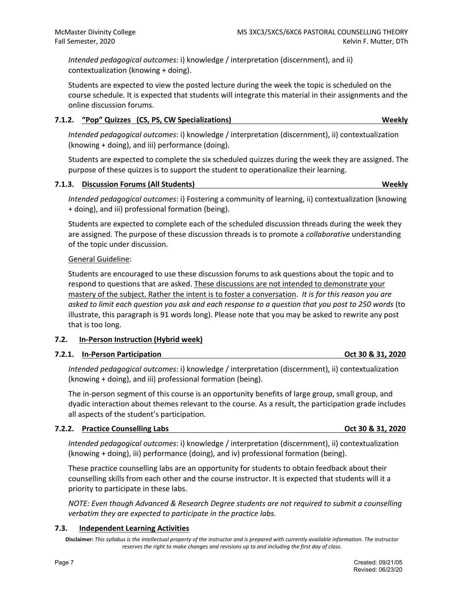*Intended pedagogical outcomes*: i) knowledge / interpretation (discernment), and ii) contextualization (knowing + doing).

Students are expected to view the posted lecture during the week the topic is scheduled on the course schedule. It is expected that students will integrate this material in their assignments and the online discussion forums.

# **7.1.2. "Pop" Quizzes (CS, PS, CW Specializations) Weekly**

*Intended pedagogical outcomes*: i) knowledge / interpretation (discernment), ii) contextualization (knowing + doing), and iii) performance (doing).

Students are expected to complete the six scheduled quizzes during the week they are assigned. The purpose of these quizzes is to support the student to operationalize their learning.

# **7.1.3. Discussion Forums (All Students) Weekly**

*Intended pedagogical outcomes*: i) Fostering a community of learning, ii) contextualization (knowing + doing), and iii) professional formation (being).

Students are expected to complete each of the scheduled discussion threads during the week they are assigned. The purpose of these discussion threads is to promote a *collaborative* understanding of the topic under discussion.

# General Guideline:

Students are encouraged to use these discussion forums to ask questions about the topic and to respond to questions that are asked. These discussions are not intended to demonstrate your mastery of the subject. Rather the intent is to foster a conversation. *It is for this reason you are asked to limit each question you ask and each response to a question that you post to 250 words* (to illustrate, this paragraph is 91 words long). Please note that you may be asked to rewrite any post that is too long.

# **7.2. In-Person Instruction (Hybrid week)**

# **7.2.1.** In-Person Participation **Contract 2018 12020** Oct 30 **& 31, 2020**

*Intended pedagogical outcomes*: i) knowledge / interpretation (discernment), ii) contextualization (knowing + doing), and iii) professional formation (being).

The in-person segment of this course is an opportunity benefits of large group, small group, and dyadic interaction about themes relevant to the course. As a result, the participation grade includes all aspects of the student's participation.

# **7.2.2. Practice Counselling Labs Counselling Labs Counselling Labs Counselling Labs Counselling Labs Counselling Labs Counselling Labs Counselling Labs Counselling Labs Counselling Labs Counselling L**

*Intended pedagogical outcomes*: i) knowledge / interpretation (discernment), ii) contextualization (knowing + doing), iii) performance (doing), and iv) professional formation (being).

These practice counselling labs are an opportunity for students to obtain feedback about their counselling skills from each other and the course instructor. It is expected that students will it a priority to participate in these labs.

*NOTE: Even though Advanced & Research Degree students are not required to submit a counselling verbatim they are expected to participate in the practice labs.*

# **7.3. Independent Learning Activities**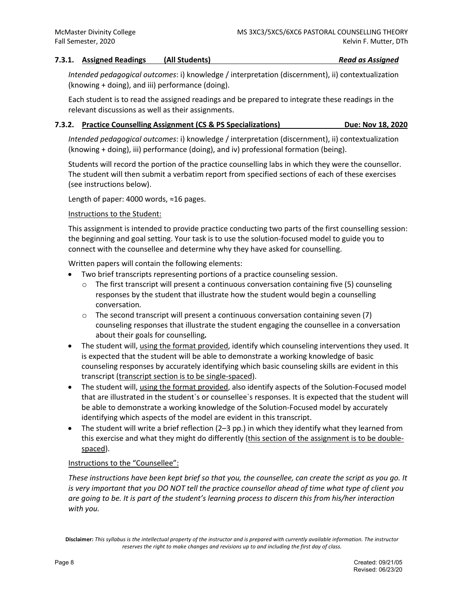## **7.3.1. Assigned Readings (All Students)** *Read as Assigned*

*Intended pedagogical outcomes*: i) knowledge / interpretation (discernment), ii) contextualization (knowing + doing), and iii) performance (doing).

Each student is to read the assigned readings and be prepared to integrate these readings in the relevant discussions as well as their assignments.

# **7.3.2. Practice Counselling Assignment (CS & PS Specializations) Due: Nov 18, 2020**

*Intended pedagogical outcomes*: i) knowledge / interpretation (discernment), ii) contextualization (knowing + doing), iii) performance (doing), and iv) professional formation (being).

Students will record the portion of the practice counselling labs in which they were the counsellor. The student will then submit a verbatim report from specified sections of each of these exercises (see instructions below).

Length of paper: 4000 words, ≈16 pages.

## Instructions to the Student:

This assignment is intended to provide practice conducting two parts of the first counselling session: the beginning and goal setting. Your task is to use the solution-focused model to guide you to connect with the counsellee and determine why they have asked for counselling.

Written papers will contain the following elements:

- Two brief transcripts representing portions of a practice counseling session.
	- $\circ$  The first transcript will present a continuous conversation containing five (5) counseling responses by the student that illustrate how the student would begin a counselling conversation*.*
	- $\circ$  The second transcript will present a continuous conversation containing seven (7) counseling responses that illustrate the student engaging the counsellee in a conversation about their goals for counselling*.*
- The student will, using the format provided, identify which counseling interventions they used. It is expected that the student will be able to demonstrate a working knowledge of basic counseling responses by accurately identifying which basic counseling skills are evident in this transcript (transcript section is to be single-spaced).
- The student will, using the format provided, also identify aspects of the Solution-Focused model that are illustrated in the student`s or counsellee`s responses. It is expected that the student will be able to demonstrate a working knowledge of the Solution-Focused model by accurately identifying which aspects of the model are evident in this transcript.
- The student will write a brief reflection (2–3 pp.) in which they identify what they learned from this exercise and what they might do differently (this section of the assignment is to be doublespaced).

# Instructions to the "Counsellee":

*These instructions have been kept brief so that you, the counsellee, can create the script as you go. It is very important that you DO NOT tell the practice counsellor ahead of time what type of client you are going to be. It is part of the student's learning process to discern this from his/her interaction with you.*

**Disclaimer:** *This syllabus is the intellectual property of the instructor and is prepared with currently available information. The instructor reserves the right to make changes and revisions up to and including the first day of class.*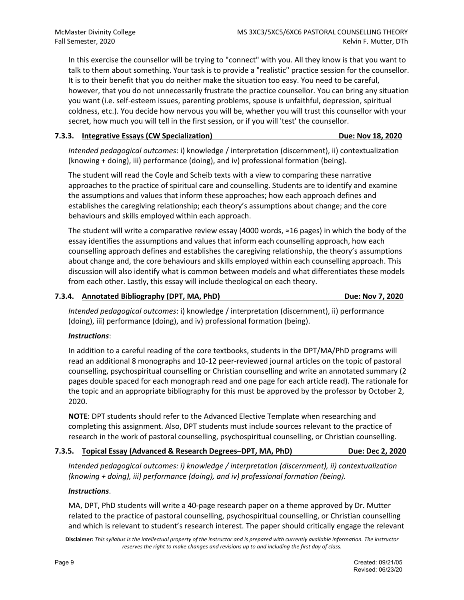In this exercise the counsellor will be trying to "connect" with you. All they know is that you want to talk to them about something. Your task is to provide a "realistic" practice session for the counsellor. It is to their benefit that you do neither make the situation too easy. You need to be careful, however, that you do not unnecessarily frustrate the practice counsellor. You can bring any situation you want (i.e. self-esteem issues, parenting problems, spouse is unfaithful, depression, spiritual coldness, etc.). You decide how nervous you will be, whether you will trust this counsellor with your secret, how much you will tell in the first session, or if you will 'test' the counsellor.

# **7.3.3. Integrative Essays (CW Specialization) Due: Nov 18, 2020**

*Intended pedagogical outcomes*: i) knowledge / interpretation (discernment), ii) contextualization (knowing + doing), iii) performance (doing), and iv) professional formation (being).

The student will read the Coyle and Scheib texts with a view to comparing these narrative approaches to the practice of spiritual care and counselling. Students are to identify and examine the assumptions and values that inform these approaches; how each approach defines and establishes the caregiving relationship; each theory's assumptions about change; and the core behaviours and skills employed within each approach.

The student will write a comparative review essay (4000 words, ≈16 pages) in which the body of the essay identifies the assumptions and values that inform each counselling approach, how each counselling approach defines and establishes the caregiving relationship, the theory's assumptions about change and, the core behaviours and skills employed within each counselling approach. This discussion will also identify what is common between models and what differentiates these models from each other. Lastly, this essay will include theological on each theory.

# **7.3.4. Annotated Bibliography (DPT, MA, PhD) Due: Nov 7, 2020**

*Intended pedagogical outcomes*: i) knowledge / interpretation (discernment), ii) performance (doing), iii) performance (doing), and iv) professional formation (being).

# *Instructions*:

In addition to a careful reading of the core textbooks, students in the DPT/MA/PhD programs will read an additional 8 monographs and 10-12 peer-reviewed journal articles on the topic of pastoral counselling, psychospiritual counselling or Christian counselling and write an annotated summary (2 pages double spaced for each monograph read and one page for each article read). The rationale for the topic and an appropriate bibliography for this must be approved by the professor by October 2, 2020.

**NOTE**: DPT students should refer to the Advanced Elective Template when researching and completing this assignment. Also, DPT students must include sources relevant to the practice of research in the work of pastoral counselling, psychospiritual counselling, or Christian counselling.

# **7.3.5. Topical Essay (Advanced & Research Degrees–DPT, MA, PhD) Due: Dec 2, 2020**

*Intended pedagogical outcomes: i) knowledge / interpretation (discernment), ii) contextualization (knowing + doing), iii) performance (doing), and iv) professional formation (being).*

# *Instructions*.

MA, DPT, PhD students will write a 40-page research paper on a theme approved by Dr. Mutter related to the practice of pastoral counselling, psychospiritual counselling, or Christian counselling and which is relevant to student's research interest. The paper should critically engage the relevant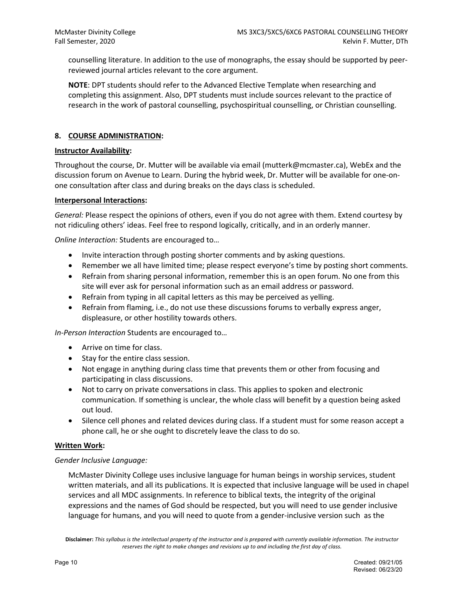counselling literature. In addition to the use of monographs, the essay should be supported by peerreviewed journal articles relevant to the core argument.

**NOTE**: DPT students should refer to the Advanced Elective Template when researching and completing this assignment. Also, DPT students must include sources relevant to the practice of research in the work of pastoral counselling, psychospiritual counselling, or Christian counselling.

## **8. COURSE ADMINISTRATION:**

## **Instructor Availability:**

Throughout the course, Dr. Mutter will be available via email (mutterk@mcmaster.ca), WebEx and the discussion forum on Avenue to Learn. During the hybrid week, Dr. Mutter will be available for one-onone consultation after class and during breaks on the days class is scheduled.

## **Interpersonal Interactions:**

*General:* Please respect the opinions of others, even if you do not agree with them. Extend courtesy by not ridiculing others' ideas. Feel free to respond logically, critically, and in an orderly manner.

*Online Interaction:* Students are encouraged to…

- Invite interaction through posting shorter comments and by asking questions.
- Remember we all have limited time; please respect everyone's time by posting short comments.
- Refrain from sharing personal information, remember this is an open forum. No one from this site will ever ask for personal information such as an email address or password.
- Refrain from typing in all capital letters as this may be perceived as yelling.
- Refrain from flaming, i.e., do not use these discussions forums to verbally express anger, displeasure, or other hostility towards others.

*In-Person Interaction* Students are encouraged to…

- Arrive on time for class.
- Stay for the entire class session.
- Not engage in anything during class time that prevents them or other from focusing and participating in class discussions.
- Not to carry on private conversations in class. This applies to spoken and electronic communication. If something is unclear, the whole class will benefit by a question being asked out loud.
- Silence cell phones and related devices during class. If a student must for some reason accept a phone call, he or she ought to discretely leave the class to do so.

## **Written Work:**

## *Gender Inclusive Language:*

McMaster Divinity College uses inclusive language for human beings in worship services, student written materials, and all its publications. It is expected that inclusive language will be used in chapel services and all MDC assignments. In reference to biblical texts, the integrity of the original expressions and the names of God should be respected, but you will need to use gender inclusive language for humans, and you will need to quote from a gender-inclusive version such as the

**Disclaimer:** *This syllabus is the intellectual property of the instructor and is prepared with currently available information. The instructor reserves the right to make changes and revisions up to and including the first day of class.*